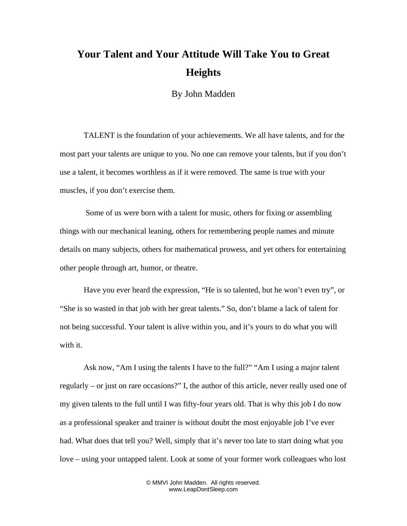## **Your Talent and Your Attitude Will Take You to Great Heights**

By John Madden

TALENT is the foundation of your achievements. We all have talents, and for the most part your talents are unique to you. No one can remove your talents, but if you don't use a talent, it becomes worthless as if it were removed. The same is true with your muscles, if you don't exercise them.

 Some of us were born with a talent for music, others for fixing or assembling things with our mechanical leaning, others for remembering people names and minute details on many subjects, others for mathematical prowess, and yet others for entertaining other people through art, humor, or theatre.

Have you ever heard the expression, "He is so talented, but he won't even try", or "She is so wasted in that job with her great talents." So, don't blame a lack of talent for not being successful. Your talent is alive within you, and it's yours to do what you will with it.

Ask now, "Am I using the talents I have to the full?" "Am I using a major talent regularly – or just on rare occasions?" I, the author of this article, never really used one of my given talents to the full until I was fifty-four years old. That is why this job I do now as a professional speaker and trainer is without doubt the most enjoyable job I've ever had. What does that tell you? Well, simply that it's never too late to start doing what you love – using your untapped talent. Look at some of your former work colleagues who lost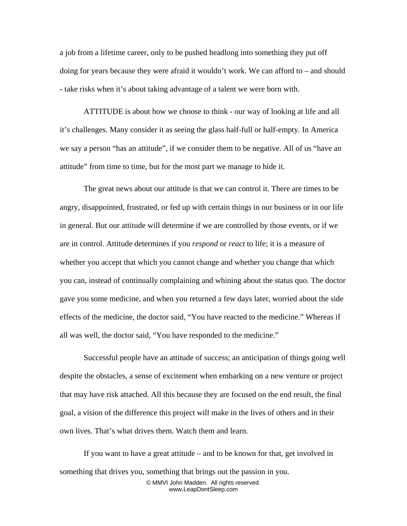a job from a lifetime career, only to be pushed headlong into something they put off doing for years because they were afraid it wouldn't work. We can afford to – and should - take risks when it's about taking advantage of a talent we were born with.

ATTITUDE is about how we choose to think - our way of looking at life and all it's challenges. Many consider it as seeing the glass half-full or half-empty. In America we say a person "has an attitude", if we consider them to be negative. All of us "have an attitude" from time to time, but for the most part we manage to hide it.

The great news about our attitude is that we can control it. There are times to be angry, disappointed, frustrated, or fed up with certain things in our business or in our life in general. But our attitude will determine if we are controlled by those events, or if we are in control. Attitude determines if you *respond* or *react* to life; it is a measure of whether you accept that which you cannot change and whether you change that which you can, instead of continually complaining and whining about the status quo. The doctor gave you some medicine, and when you returned a few days later, worried about the side effects of the medicine, the doctor said, "You have reacted to the medicine." Whereas if all was well, the doctor said, "You have responded to the medicine."

Successful people have an attitude of success; an anticipation of things going well despite the obstacles, a sense of excitement when embarking on a new venture or project that may have risk attached. All this because they are focused on the end result, the final goal, a vision of the difference this project will make in the lives of others and in their own lives. That's what drives them. Watch them and learn.

If you want to have a great attitude – and to be known for that, get involved in something that drives you, something that brings out the passion in you. © MMVI John Madden. All rights reserved. www.LeapDontSleep.com